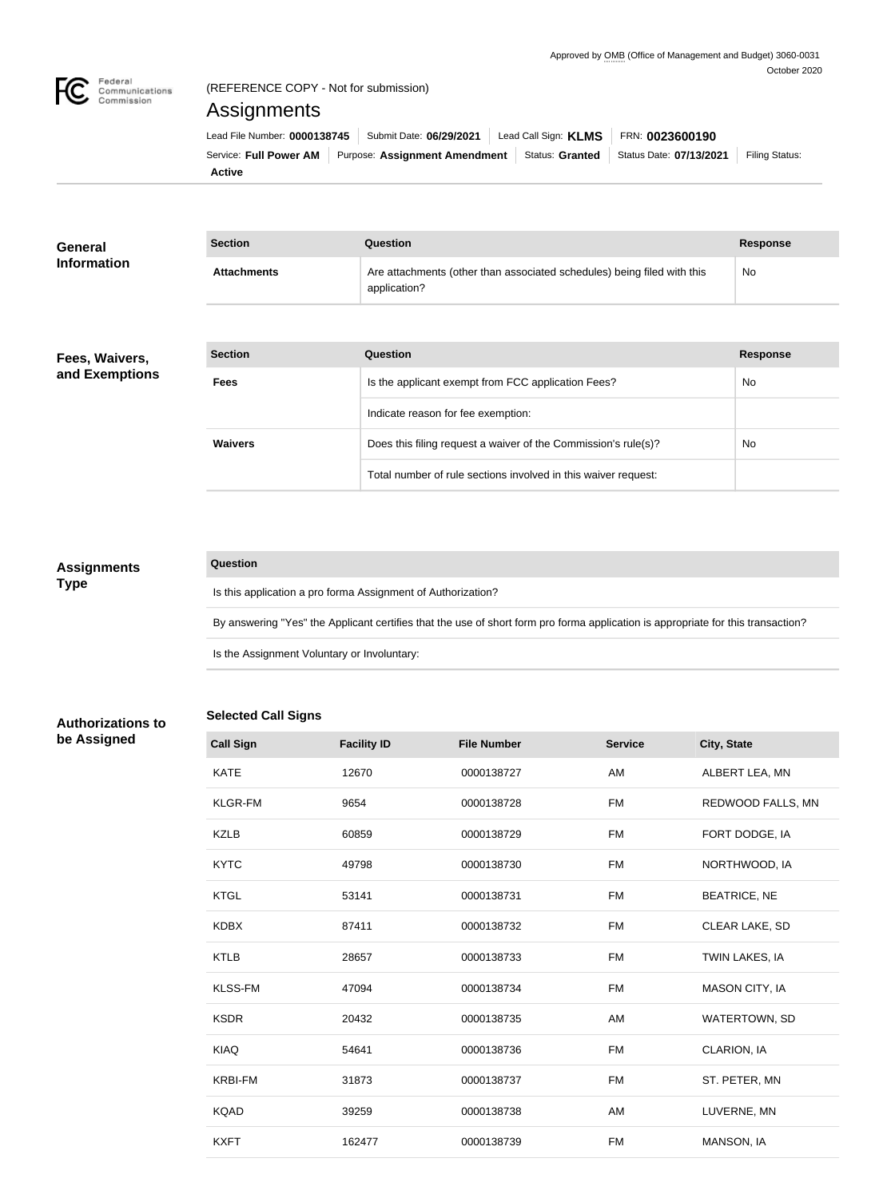

## (REFERENCE COPY - Not for submission)

# Assignments

|                                                                                                                   |  |  |  | Lead File Number: 0000138745   Submit Date: 06/29/2021   Lead Call Sign: KLMS   FRN: 0023600190 |  |  |  |
|-------------------------------------------------------------------------------------------------------------------|--|--|--|-------------------------------------------------------------------------------------------------|--|--|--|
| Service: Full Power AM Purpose: Assignment Amendment   Status: Granted   Status Date: 07/13/2021   Filing Status: |  |  |  |                                                                                                 |  |  |  |
| <b>Active</b>                                                                                                     |  |  |  |                                                                                                 |  |  |  |

| General            | <b>Section</b> | Question                                                                                | <b>Response</b> |
|--------------------|----------------|-----------------------------------------------------------------------------------------|-----------------|
| <b>Information</b> | Attachments    | Are attachments (other than associated schedules) being filed with this<br>application? | No              |

## **Fees, Waivers, and Exemptions**

| <b>Section</b> | Question                                                       | <b>Response</b> |
|----------------|----------------------------------------------------------------|-----------------|
| <b>Fees</b>    | Is the applicant exempt from FCC application Fees?             | <b>No</b>       |
|                | Indicate reason for fee exemption:                             |                 |
| <b>Waivers</b> | Does this filing request a waiver of the Commission's rule(s)? | <b>No</b>       |
|                | Total number of rule sections involved in this waiver request: |                 |

## **Assignments Type**

#### **Question**

Is this application a pro forma Assignment of Authorization?

By answering "Yes" the Applicant certifies that the use of short form pro forma application is appropriate for this transaction?

Is the Assignment Voluntary or Involuntary:

## **Selected Call Signs**

**Authorizations to be Assigned**

| <b>Call Sign</b> | <b>Facility ID</b> | <b>File Number</b> | <b>Service</b> | City, State          |
|------------------|--------------------|--------------------|----------------|----------------------|
| <b>KATE</b>      | 12670              | 0000138727         | AM             | ALBERT LEA, MN       |
| <b>KLGR-FM</b>   | 9654               | 0000138728         | <b>FM</b>      | REDWOOD FALLS, MN    |
| <b>KZLB</b>      | 60859              | 0000138729         | <b>FM</b>      | FORT DODGE, IA       |
| <b>KYTC</b>      | 49798              | 0000138730         | FM             | NORTHWOOD, IA        |
| <b>KTGL</b>      | 53141              | 0000138731         | <b>FM</b>      | <b>BEATRICE, NE</b>  |
| <b>KDBX</b>      | 87411              | 0000138732         | FM             | CLEAR LAKE, SD       |
| <b>KTLB</b>      | 28657              | 0000138733         | <b>FM</b>      | TWIN LAKES, IA       |
| <b>KLSS-FM</b>   | 47094              | 0000138734         | FM             | MASON CITY, IA       |
| <b>KSDR</b>      | 20432              | 0000138735         | AM             | <b>WATERTOWN, SD</b> |
| <b>KIAQ</b>      | 54641              | 0000138736         | <b>FM</b>      | CLARION, IA          |
| <b>KRBI-FM</b>   | 31873              | 0000138737         | <b>FM</b>      | ST. PETER, MN        |
| <b>KQAD</b>      | 39259              | 0000138738         | AM             | LUVERNE, MN          |
| <b>KXFT</b>      | 162477             | 0000138739         | FM             | MANSON, IA           |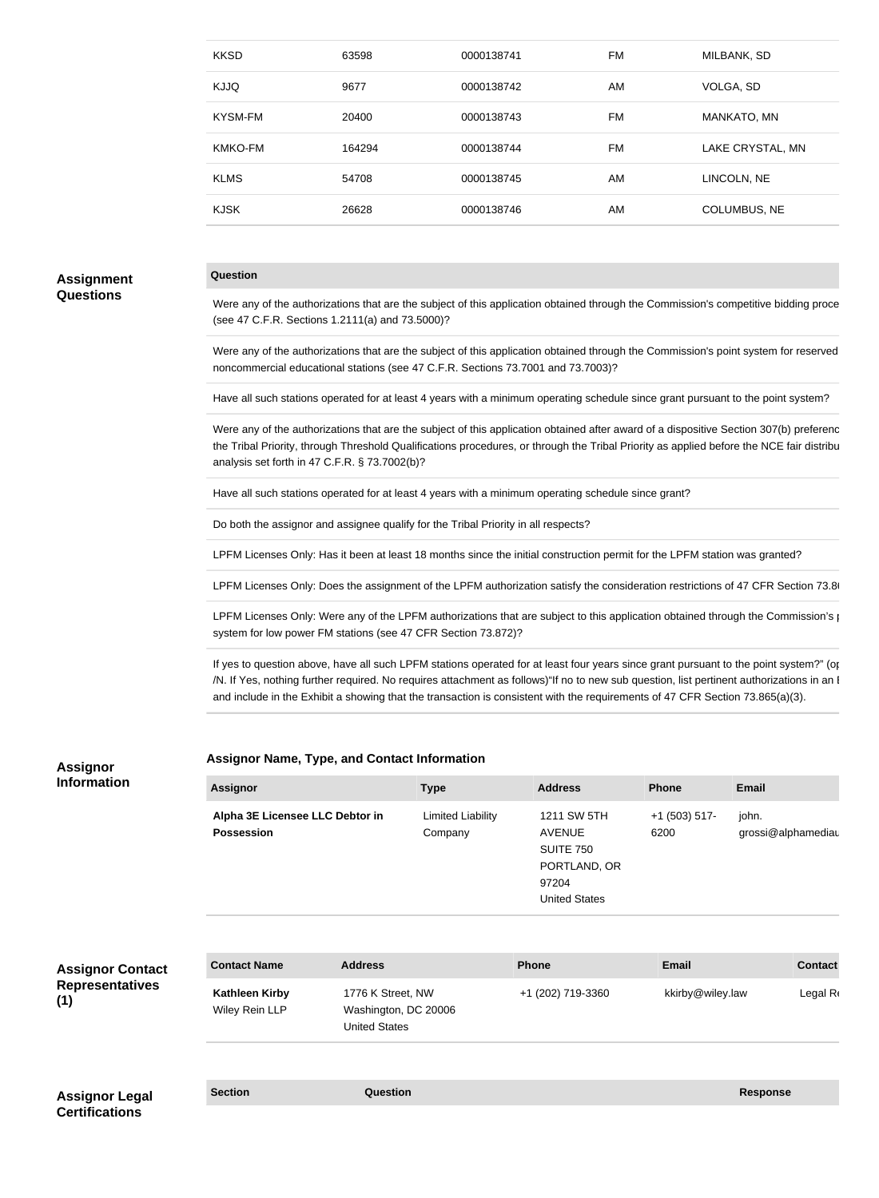| <b>KKSD</b>    | 63598  | 0000138741 | FM  | MILBANK, SD         |
|----------------|--------|------------|-----|---------------------|
| <b>KJJQ</b>    | 9677   | 0000138742 | AM  | VOLGA, SD           |
| <b>KYSM-FM</b> | 20400  | 0000138743 | FM. | MANKATO, MN         |
| KMKO-FM        | 164294 | 0000138744 | FM  | LAKE CRYSTAL, MN    |
| <b>KLMS</b>    | 54708  | 0000138745 | AM  | LINCOLN, NE         |
| <b>KJSK</b>    | 26628  | 0000138746 | AM  | <b>COLUMBUS, NE</b> |
|                |        |            |     |                     |

## **Assignment Questions**

#### **Question**

Were any of the authorizations that are the subject of this application obtained through the Commission's competitive bidding proce (see 47 C.F.R. Sections 1.2111(a) and 73.5000)?

Were any of the authorizations that are the subject of this application obtained through the Commission's point system for reserved noncommercial educational stations (see 47 C.F.R. Sections 73.7001 and 73.7003)?

Have all such stations operated for at least 4 years with a minimum operating schedule since grant pursuant to the point system?

Were any of the authorizations that are the subject of this application obtained after award of a dispositive Section 307(b) preferenc the Tribal Priority, through Threshold Qualifications procedures, or through the Tribal Priority as applied before the NCE fair distribu analysis set forth in 47 C.F.R. § 73.7002(b)?

Have all such stations operated for at least 4 years with a minimum operating schedule since grant?

Do both the assignor and assignee qualify for the Tribal Priority in all respects?

LPFM Licenses Only: Has it been at least 18 months since the initial construction permit for the LPFM station was granted?

LPFM Licenses Only: Does the assignment of the LPFM authorization satisfy the consideration restrictions of 47 CFR Section 73.86

LPFM Licenses Only: Were any of the LPFM authorizations that are subject to this application obtained through the Commission's point system for low power FM stations (see 47 CFR Section 73.872)?

If yes to question above, have all such LPFM stations operated for at least four years since grant pursuant to the point system?" (options – Your /N. If Yes, nothing further required. No requires attachment as follows)"If no to new sub question, list pertinent authorizations in an I and include in the Exhibit a showing that the transaction is consistent with the requirements of 47 CFR Section 73.865(a)(3).

#### **Assignor Name, Type, and Contact Information**

| <b>Assignor</b>                 | <b>Type</b>              | <b>Address</b>       | <b>Phone</b>    | <b>Email</b>       |
|---------------------------------|--------------------------|----------------------|-----------------|--------------------|
| Alpha 3E Licensee LLC Debtor in | <b>Limited Liability</b> | 1211 SW 5TH          | $+1$ (503) 517- | john.              |
| <b>Possession</b>               | Company                  | <b>AVENUE</b>        | 6200            | grossi@alphamediau |
|                                 |                          | <b>SUITE 750</b>     |                 |                    |
|                                 |                          | PORTLAND, OR         |                 |                    |
|                                 |                          | 97204                |                 |                    |
|                                 |                          | <b>United States</b> |                 |                    |

## **Assignor Contact Representatives (1)**

**Assignor Information**

| kkirby@wiley.law<br><b>Kathleen Kirby</b><br>1776 K Street, NW<br>+1 (202) 719-3360<br>Wiley Rein LLP<br>Washington, DC 20006<br><b>United States</b> | <b>Contact Name</b> | <b>Address</b> | Phone | <b>Email</b> | <b>Contact</b> |
|-------------------------------------------------------------------------------------------------------------------------------------------------------|---------------------|----------------|-------|--------------|----------------|
|                                                                                                                                                       |                     |                |       |              | Legal R        |
|                                                                                                                                                       |                     |                |       |              |                |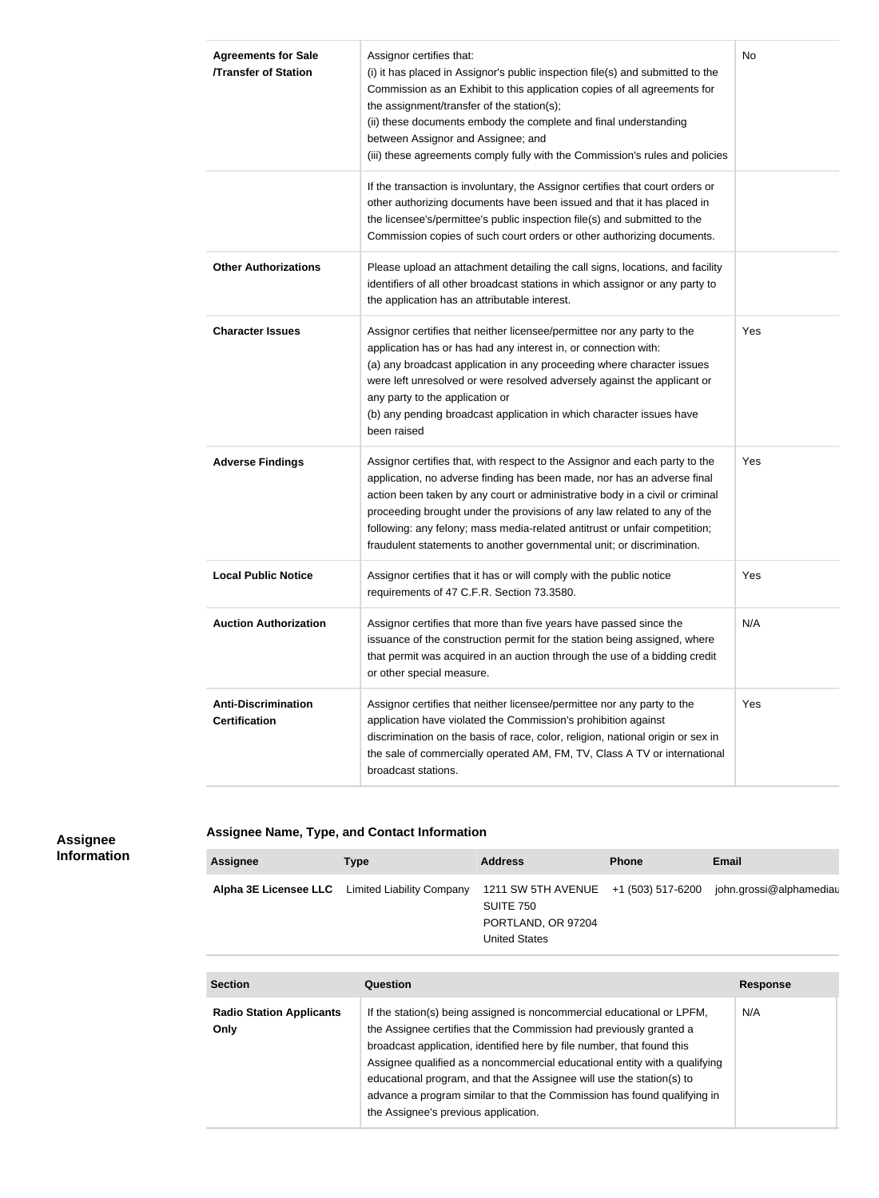| <b>Agreements for Sale</b><br><b>/Transfer of Station</b> | Assignor certifies that:<br>(i) it has placed in Assignor's public inspection file(s) and submitted to the<br>Commission as an Exhibit to this application copies of all agreements for<br>the assignment/transfer of the station(s);<br>(ii) these documents embody the complete and final understanding<br>between Assignor and Assignee; and<br>(iii) these agreements comply fully with the Commission's rules and policies                                            | No  |
|-----------------------------------------------------------|----------------------------------------------------------------------------------------------------------------------------------------------------------------------------------------------------------------------------------------------------------------------------------------------------------------------------------------------------------------------------------------------------------------------------------------------------------------------------|-----|
|                                                           | If the transaction is involuntary, the Assignor certifies that court orders or<br>other authorizing documents have been issued and that it has placed in<br>the licensee's/permittee's public inspection file(s) and submitted to the<br>Commission copies of such court orders or other authorizing documents.                                                                                                                                                            |     |
| <b>Other Authorizations</b>                               | Please upload an attachment detailing the call signs, locations, and facility<br>identifiers of all other broadcast stations in which assignor or any party to<br>the application has an attributable interest.                                                                                                                                                                                                                                                            |     |
| <b>Character Issues</b>                                   | Assignor certifies that neither licensee/permittee nor any party to the<br>application has or has had any interest in, or connection with:<br>(a) any broadcast application in any proceeding where character issues<br>were left unresolved or were resolved adversely against the applicant or<br>any party to the application or<br>(b) any pending broadcast application in which character issues have<br>been raised                                                 | Yes |
| <b>Adverse Findings</b>                                   | Assignor certifies that, with respect to the Assignor and each party to the<br>application, no adverse finding has been made, nor has an adverse final<br>action been taken by any court or administrative body in a civil or criminal<br>proceeding brought under the provisions of any law related to any of the<br>following: any felony; mass media-related antitrust or unfair competition;<br>fraudulent statements to another governmental unit; or discrimination. | Yes |
| <b>Local Public Notice</b>                                | Assignor certifies that it has or will comply with the public notice<br>requirements of 47 C.F.R. Section 73.3580.                                                                                                                                                                                                                                                                                                                                                         | Yes |
| <b>Auction Authorization</b>                              | Assignor certifies that more than five years have passed since the<br>issuance of the construction permit for the station being assigned, where<br>that permit was acquired in an auction through the use of a bidding credit<br>or other special measure.                                                                                                                                                                                                                 | N/A |
| <b>Anti-Discrimination</b><br><b>Certification</b>        | Assignor certifies that neither licensee/permittee nor any party to the<br>application have violated the Commission's prohibition against<br>discrimination on the basis of race, color, religion, national origin or sex in<br>the sale of commercially operated AM, FM, TV, Class A TV or international<br>broadcast stations.                                                                                                                                           | Yes |

## **Assignee Information**

## **Assignee Name, Type, and Contact Information**

| <b>Assignee</b> | Type                                                   | <b>Address</b>                                                                                  | <b>Phone</b> | <b>Email</b>            |
|-----------------|--------------------------------------------------------|-------------------------------------------------------------------------------------------------|--------------|-------------------------|
|                 | <b>Alpha 3E Licensee LLC</b> Limited Liability Company | 1211 SW 5TH AVENUE +1 (503) 517-6200<br>SUITE 750<br>PORTLAND, OR 97204<br><b>United States</b> |              | john.grossi@alphamediau |

| <b>Section</b>                          | Question                                                                                                                                                                                                                                                                                                                                                                                                                                                                                           | <b>Response</b> |
|-----------------------------------------|----------------------------------------------------------------------------------------------------------------------------------------------------------------------------------------------------------------------------------------------------------------------------------------------------------------------------------------------------------------------------------------------------------------------------------------------------------------------------------------------------|-----------------|
| <b>Radio Station Applicants</b><br>Only | If the station(s) being assigned is noncommercial educational or LPFM,<br>the Assignee certifies that the Commission had previously granted a<br>broadcast application, identified here by file number, that found this<br>Assignee qualified as a noncommercial educational entity with a qualifying<br>educational program, and that the Assignee will use the station(s) to<br>advance a program similar to that the Commission has found qualifying in<br>the Assignee's previous application. | N/A             |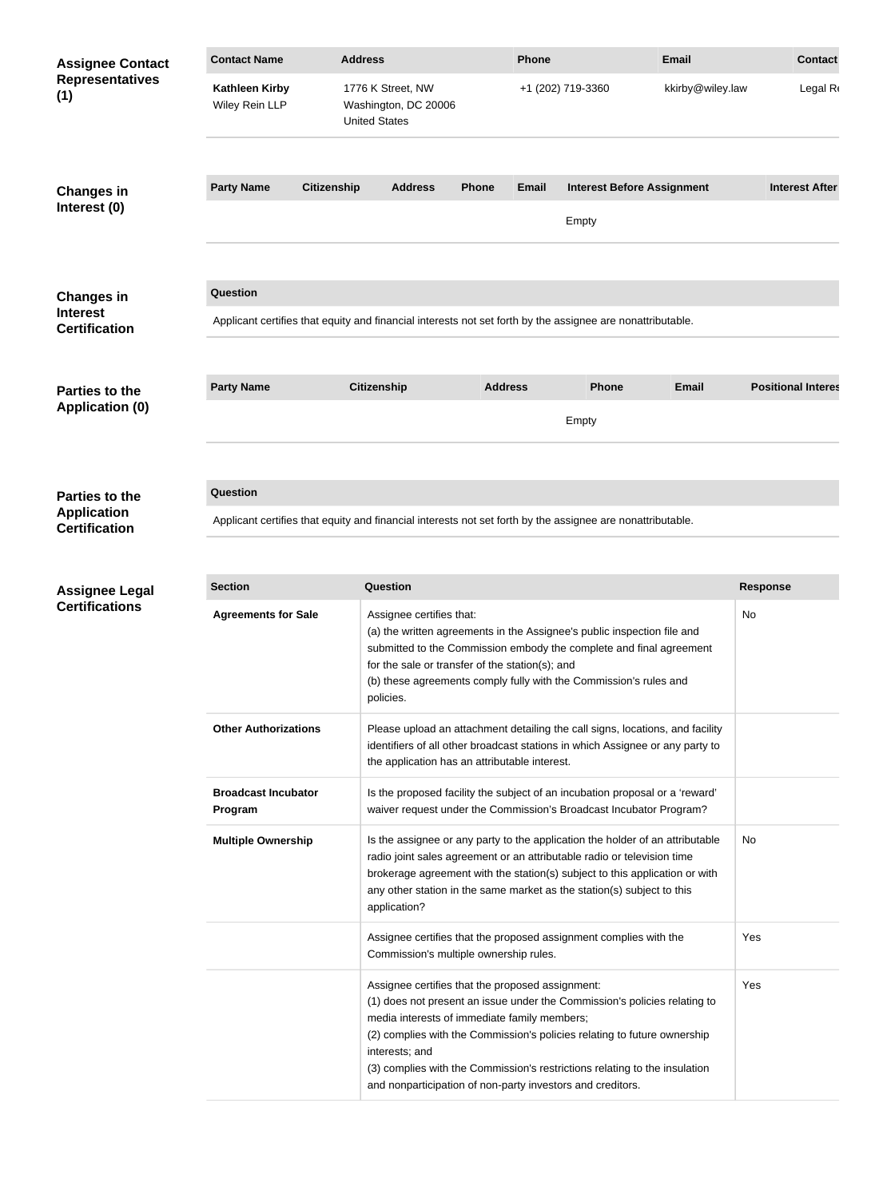| <b>Assignee Contact</b>                    | <b>Contact Name</b>                                                                                        |                                                                                                            | <b>Address</b>                                                                                                                                                                                                                                                                                                                    |                | Phone             |                                                                                                                                                                                                                      | <b>Email</b>                                                              | <b>Contact</b>            |  |
|--------------------------------------------|------------------------------------------------------------------------------------------------------------|------------------------------------------------------------------------------------------------------------|-----------------------------------------------------------------------------------------------------------------------------------------------------------------------------------------------------------------------------------------------------------------------------------------------------------------------------------|----------------|-------------------|----------------------------------------------------------------------------------------------------------------------------------------------------------------------------------------------------------------------|---------------------------------------------------------------------------|---------------------------|--|
| <b>Representatives</b><br>(1)              | <b>Kathleen Kirby</b><br>Wiley Rein LLP                                                                    |                                                                                                            | 1776 K Street, NW<br>Washington, DC 20006<br><b>United States</b>                                                                                                                                                                                                                                                                 |                | +1 (202) 719-3360 |                                                                                                                                                                                                                      | kkirby@wiley.law                                                          | Legal R                   |  |
| <b>Changes in</b>                          | <b>Party Name</b>                                                                                          | <b>Citizenship</b>                                                                                         | <b>Address</b>                                                                                                                                                                                                                                                                                                                    | <b>Phone</b>   | Email             | <b>Interest Before Assignment</b>                                                                                                                                                                                    |                                                                           | <b>Interest After</b>     |  |
| Interest (0)                               |                                                                                                            |                                                                                                            |                                                                                                                                                                                                                                                                                                                                   |                |                   | Empty                                                                                                                                                                                                                |                                                                           |                           |  |
| <b>Changes in</b><br><b>Interest</b>       | <b>Question</b>                                                                                            |                                                                                                            |                                                                                                                                                                                                                                                                                                                                   |                |                   |                                                                                                                                                                                                                      |                                                                           |                           |  |
| <b>Certification</b>                       | Applicant certifies that equity and financial interests not set forth by the assignee are nonattributable. |                                                                                                            |                                                                                                                                                                                                                                                                                                                                   |                |                   |                                                                                                                                                                                                                      |                                                                           |                           |  |
| <b>Parties to the</b>                      | <b>Party Name</b>                                                                                          |                                                                                                            | <b>Citizenship</b>                                                                                                                                                                                                                                                                                                                | <b>Address</b> |                   | <b>Phone</b>                                                                                                                                                                                                         | <b>Email</b>                                                              | <b>Positional Interes</b> |  |
| <b>Application (0)</b>                     |                                                                                                            |                                                                                                            |                                                                                                                                                                                                                                                                                                                                   |                |                   | Empty                                                                                                                                                                                                                |                                                                           |                           |  |
| <b>Parties to the</b>                      | Question                                                                                                   |                                                                                                            |                                                                                                                                                                                                                                                                                                                                   |                |                   |                                                                                                                                                                                                                      |                                                                           |                           |  |
| <b>Application</b><br><b>Certification</b> |                                                                                                            | Applicant certifies that equity and financial interests not set forth by the assignee are nonattributable. |                                                                                                                                                                                                                                                                                                                                   |                |                   |                                                                                                                                                                                                                      |                                                                           |                           |  |
|                                            |                                                                                                            |                                                                                                            |                                                                                                                                                                                                                                                                                                                                   |                |                   |                                                                                                                                                                                                                      |                                                                           |                           |  |
| <b>Assignee Legal</b>                      | <b>Section</b>                                                                                             |                                                                                                            | <b>Question</b>                                                                                                                                                                                                                                                                                                                   |                |                   |                                                                                                                                                                                                                      |                                                                           | <b>Response</b>           |  |
| <b>Certifications</b>                      | <b>Agreements for Sale</b>                                                                                 |                                                                                                            | Assignee certifies that:<br>(a) the written agreements in the Assignee's public inspection file and<br>submitted to the Commission embody the complete and final agreement<br>for the sale or transfer of the station(s); and<br>(b) these agreements comply fully with the Commission's rules and<br>policies.                   |                |                   |                                                                                                                                                                                                                      | No                                                                        |                           |  |
|                                            | <b>Other Authorizations</b>                                                                                |                                                                                                            | Please upload an attachment detailing the call signs, locations, and facility<br>identifiers of all other broadcast stations in which Assignee or any party to<br>the application has an attributable interest.                                                                                                                   |                |                   |                                                                                                                                                                                                                      |                                                                           |                           |  |
|                                            | <b>Broadcast Incubator</b><br>Program                                                                      |                                                                                                            |                                                                                                                                                                                                                                                                                                                                   |                |                   | Is the proposed facility the subject of an incubation proposal or a 'reward'<br>waiver request under the Commission's Broadcast Incubator Program?                                                                   |                                                                           |                           |  |
|                                            | <b>Multiple Ownership</b>                                                                                  |                                                                                                            | Is the assignee or any party to the application the holder of an attributable<br>radio joint sales agreement or an attributable radio or television time<br>brokerage agreement with the station(s) subject to this application or with<br>any other station in the same market as the station(s) subject to this<br>application? |                |                   |                                                                                                                                                                                                                      | No                                                                        |                           |  |
|                                            |                                                                                                            |                                                                                                            | Assignee certifies that the proposed assignment complies with the<br>Commission's multiple ownership rules.                                                                                                                                                                                                                       |                |                   |                                                                                                                                                                                                                      | Yes                                                                       |                           |  |
|                                            |                                                                                                            |                                                                                                            | Assignee certifies that the proposed assignment:<br>media interests of immediate family members;<br>interests; and                                                                                                                                                                                                                |                |                   | (2) complies with the Commission's policies relating to future ownership<br>(3) complies with the Commission's restrictions relating to the insulation<br>and nonparticipation of non-party investors and creditors. | (1) does not present an issue under the Commission's policies relating to | Yes                       |  |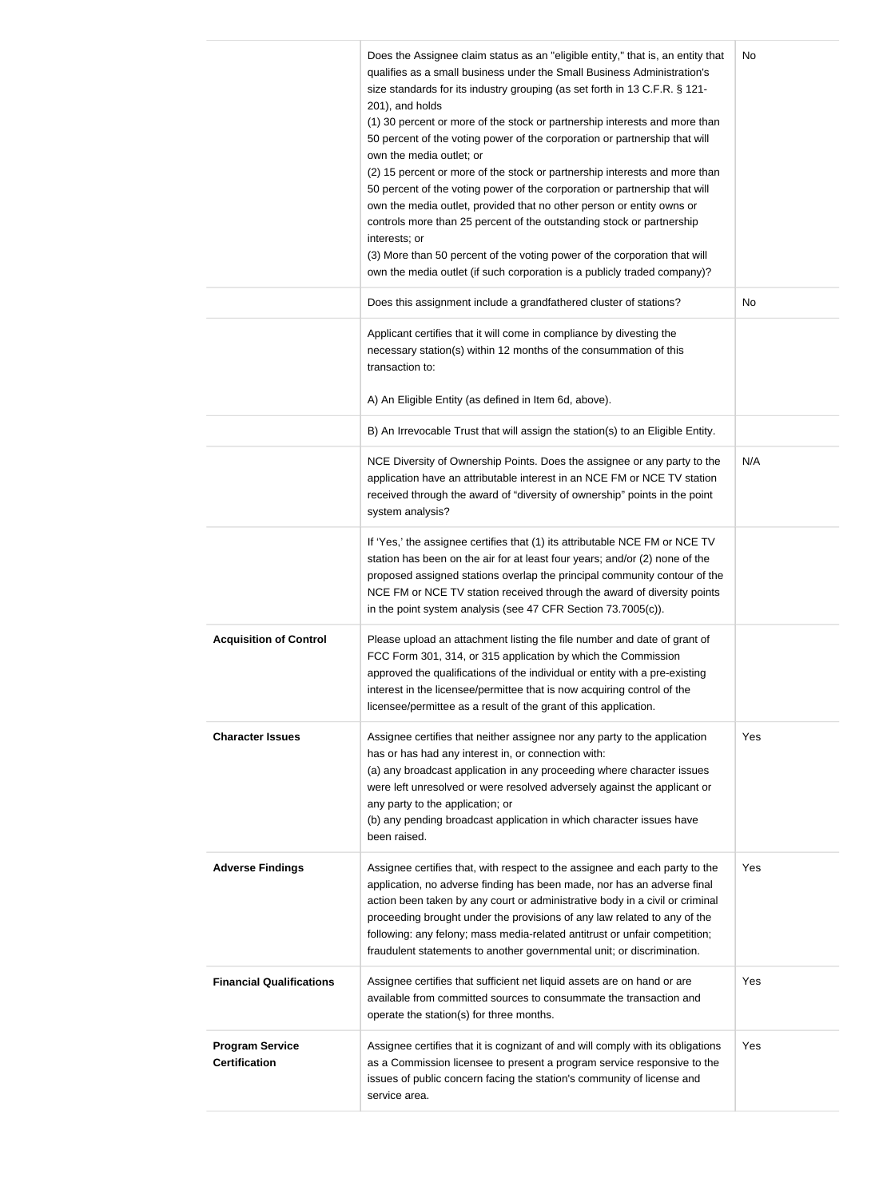|                                                | Does the Assignee claim status as an "eligible entity," that is, an entity that<br>qualifies as a small business under the Small Business Administration's<br>size standards for its industry grouping (as set forth in 13 C.F.R. § 121-<br>201), and holds<br>(1) 30 percent or more of the stock or partnership interests and more than<br>50 percent of the voting power of the corporation or partnership that will<br>own the media outlet; or<br>(2) 15 percent or more of the stock or partnership interests and more than<br>50 percent of the voting power of the corporation or partnership that will<br>own the media outlet, provided that no other person or entity owns or<br>controls more than 25 percent of the outstanding stock or partnership<br>interests; or<br>(3) More than 50 percent of the voting power of the corporation that will<br>own the media outlet (if such corporation is a publicly traded company)? | No  |
|------------------------------------------------|---------------------------------------------------------------------------------------------------------------------------------------------------------------------------------------------------------------------------------------------------------------------------------------------------------------------------------------------------------------------------------------------------------------------------------------------------------------------------------------------------------------------------------------------------------------------------------------------------------------------------------------------------------------------------------------------------------------------------------------------------------------------------------------------------------------------------------------------------------------------------------------------------------------------------------------------|-----|
|                                                | Does this assignment include a grandfathered cluster of stations?                                                                                                                                                                                                                                                                                                                                                                                                                                                                                                                                                                                                                                                                                                                                                                                                                                                                           | No  |
|                                                | Applicant certifies that it will come in compliance by divesting the<br>necessary station(s) within 12 months of the consummation of this<br>transaction to:                                                                                                                                                                                                                                                                                                                                                                                                                                                                                                                                                                                                                                                                                                                                                                                |     |
|                                                | A) An Eligible Entity (as defined in Item 6d, above).                                                                                                                                                                                                                                                                                                                                                                                                                                                                                                                                                                                                                                                                                                                                                                                                                                                                                       |     |
|                                                | B) An Irrevocable Trust that will assign the station(s) to an Eligible Entity.                                                                                                                                                                                                                                                                                                                                                                                                                                                                                                                                                                                                                                                                                                                                                                                                                                                              |     |
|                                                | NCE Diversity of Ownership Points. Does the assignee or any party to the<br>application have an attributable interest in an NCE FM or NCE TV station<br>received through the award of "diversity of ownership" points in the point<br>system analysis?                                                                                                                                                                                                                                                                                                                                                                                                                                                                                                                                                                                                                                                                                      | N/A |
|                                                | If 'Yes,' the assignee certifies that (1) its attributable NCE FM or NCE TV<br>station has been on the air for at least four years; and/or (2) none of the<br>proposed assigned stations overlap the principal community contour of the<br>NCE FM or NCE TV station received through the award of diversity points<br>in the point system analysis (see 47 CFR Section 73.7005(c)).                                                                                                                                                                                                                                                                                                                                                                                                                                                                                                                                                         |     |
| <b>Acquisition of Control</b>                  | Please upload an attachment listing the file number and date of grant of<br>FCC Form 301, 314, or 315 application by which the Commission<br>approved the qualifications of the individual or entity with a pre-existing<br>interest in the licensee/permittee that is now acquiring control of the<br>licensee/permittee as a result of the grant of this application.                                                                                                                                                                                                                                                                                                                                                                                                                                                                                                                                                                     |     |
| <b>Character Issues</b>                        | Assignee certifies that neither assignee nor any party to the application<br>has or has had any interest in, or connection with:<br>(a) any broadcast application in any proceeding where character issues<br>were left unresolved or were resolved adversely against the applicant or<br>any party to the application; or<br>(b) any pending broadcast application in which character issues have<br>been raised.                                                                                                                                                                                                                                                                                                                                                                                                                                                                                                                          | Yes |
| <b>Adverse Findings</b>                        | Assignee certifies that, with respect to the assignee and each party to the<br>application, no adverse finding has been made, nor has an adverse final<br>action been taken by any court or administrative body in a civil or criminal<br>proceeding brought under the provisions of any law related to any of the<br>following: any felony; mass media-related antitrust or unfair competition;<br>fraudulent statements to another governmental unit; or discrimination.                                                                                                                                                                                                                                                                                                                                                                                                                                                                  | Yes |
| <b>Financial Qualifications</b>                | Assignee certifies that sufficient net liquid assets are on hand or are<br>available from committed sources to consummate the transaction and<br>operate the station(s) for three months.                                                                                                                                                                                                                                                                                                                                                                                                                                                                                                                                                                                                                                                                                                                                                   | Yes |
| <b>Program Service</b><br><b>Certification</b> | Assignee certifies that it is cognizant of and will comply with its obligations<br>as a Commission licensee to present a program service responsive to the<br>issues of public concern facing the station's community of license and<br>service area.                                                                                                                                                                                                                                                                                                                                                                                                                                                                                                                                                                                                                                                                                       | Yes |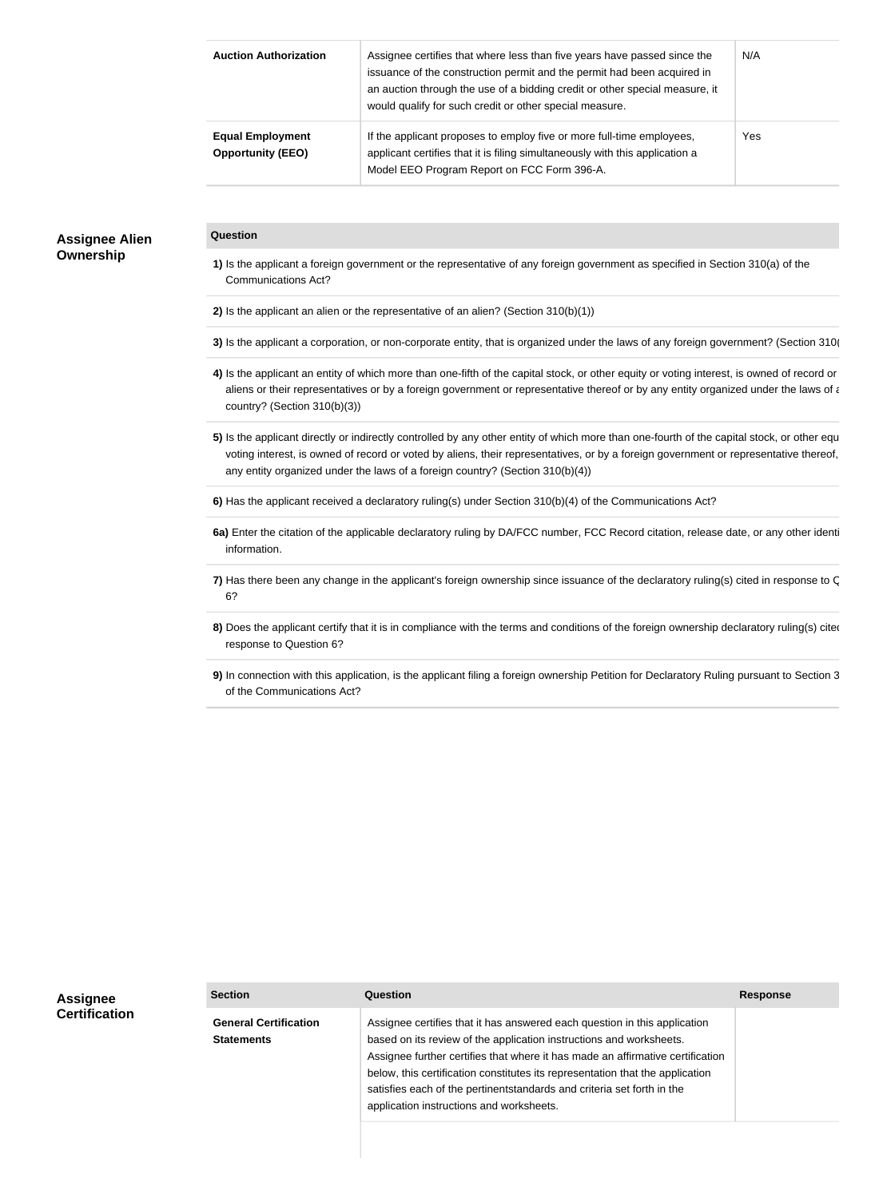| <b>Auction Authorization</b>                        | Assignee certifies that where less than five years have passed since the<br>issuance of the construction permit and the permit had been acquired in<br>an auction through the use of a bidding credit or other special measure, it<br>would qualify for such credit or other special measure. | N/A |
|-----------------------------------------------------|-----------------------------------------------------------------------------------------------------------------------------------------------------------------------------------------------------------------------------------------------------------------------------------------------|-----|
| <b>Equal Employment</b><br><b>Opportunity (EEO)</b> | If the applicant proposes to employ five or more full-time employees,<br>applicant certifies that it is filing simultaneously with this application a<br>Model EEO Program Report on FCC Form 396-A.                                                                                          | Yes |

## **Assignee Alien Ownership**

#### **Question**

- **1)** Is the applicant a foreign government or the representative of any foreign government as specified in Section 310(a) of the Communications Act?
- **2)** Is the applicant an alien or the representative of an alien? (Section 310(b)(1))
- **3)** Is the applicant a corporation, or non-corporate entity, that is organized under the laws of any foreign government? (Section 310)
- 4) Is the applicant an entity of which more than one-fifth of the capital stock, or other equity or voting interest, is owned of record or aliens or their representatives or by a foreign government or representative thereof or by any entity organized under the laws of a country? (Section 310(b)(3))
- 5) Is the applicant directly or indirectly controlled by any other entity of which more than one-fourth of the capital stock, or other equ voting interest, is owned of record or voted by aliens, their representatives, or by a foreign government or representative thereof, any entity organized under the laws of a foreign country? (Section 310(b)(4))
- **6)** Has the applicant received a declaratory ruling(s) under Section 310(b)(4) of the Communications Act?
- 6a) Enter the citation of the applicable declaratory ruling by DA/FCC number, FCC Record citation, release date, or any other identi information.
- 7) Has there been any change in the applicant's foreign ownership since issuance of the declaratory ruling(s) cited in response to C 6?
- 8) Does the applicant certify that it is in compliance with the terms and conditions of the foreign ownership declaratory ruling(s) cited response to Question 6?
- **9)** In connection with this application, is the applicant filing a foreign ownership Petition for Declaratory Ruling pursuant to Section 3 of the Communications Act?

| <b>Assignee</b>      | <b>Section</b>                                    | Question                                                                                                                                                                                                                                                                                                                                                                                                                                  | <b>Response</b> |
|----------------------|---------------------------------------------------|-------------------------------------------------------------------------------------------------------------------------------------------------------------------------------------------------------------------------------------------------------------------------------------------------------------------------------------------------------------------------------------------------------------------------------------------|-----------------|
| <b>Certification</b> | <b>General Certification</b><br><b>Statements</b> | Assignee certifies that it has answered each question in this application<br>based on its review of the application instructions and worksheets.<br>Assignee further certifies that where it has made an affirmative certification<br>below, this certification constitutes its representation that the application<br>satisfies each of the pertinentstandards and criteria set forth in the<br>application instructions and worksheets. |                 |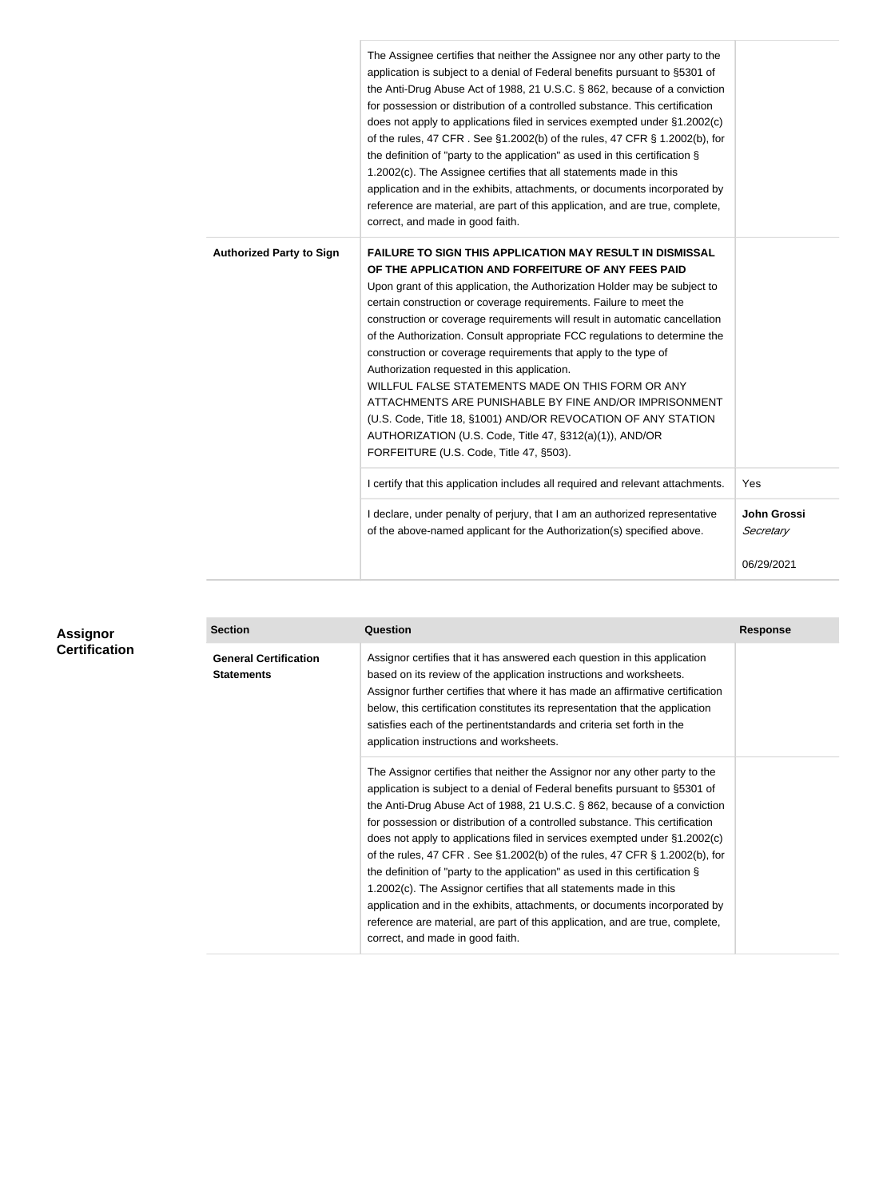|                                 | The Assignee certifies that neither the Assignee nor any other party to the<br>application is subject to a denial of Federal benefits pursuant to §5301 of<br>the Anti-Drug Abuse Act of 1988, 21 U.S.C. § 862, because of a conviction<br>for possession or distribution of a controlled substance. This certification<br>does not apply to applications filed in services exempted under §1.2002(c)<br>of the rules, 47 CFR. See §1.2002(b) of the rules, 47 CFR § 1.2002(b), for<br>the definition of "party to the application" as used in this certification §<br>1.2002(c). The Assignee certifies that all statements made in this<br>application and in the exhibits, attachments, or documents incorporated by<br>reference are material, are part of this application, and are true, complete,<br>correct, and made in good faith.    |                          |
|---------------------------------|-------------------------------------------------------------------------------------------------------------------------------------------------------------------------------------------------------------------------------------------------------------------------------------------------------------------------------------------------------------------------------------------------------------------------------------------------------------------------------------------------------------------------------------------------------------------------------------------------------------------------------------------------------------------------------------------------------------------------------------------------------------------------------------------------------------------------------------------------|--------------------------|
| <b>Authorized Party to Sign</b> | <b>FAILURE TO SIGN THIS APPLICATION MAY RESULT IN DISMISSAL</b><br>OF THE APPLICATION AND FORFEITURE OF ANY FEES PAID<br>Upon grant of this application, the Authorization Holder may be subject to<br>certain construction or coverage requirements. Failure to meet the<br>construction or coverage requirements will result in automatic cancellation<br>of the Authorization. Consult appropriate FCC regulations to determine the<br>construction or coverage requirements that apply to the type of<br>Authorization requested in this application.<br>WILLFUL FALSE STATEMENTS MADE ON THIS FORM OR ANY<br>ATTACHMENTS ARE PUNISHABLE BY FINE AND/OR IMPRISONMENT<br>(U.S. Code, Title 18, §1001) AND/OR REVOCATION OF ANY STATION<br>AUTHORIZATION (U.S. Code, Title 47, §312(a)(1)), AND/OR<br>FORFEITURE (U.S. Code, Title 47, §503). |                          |
|                                 | I certify that this application includes all required and relevant attachments.                                                                                                                                                                                                                                                                                                                                                                                                                                                                                                                                                                                                                                                                                                                                                                 | Yes                      |
|                                 | I declare, under penalty of perjury, that I am an authorized representative<br>of the above-named applicant for the Authorization(s) specified above.                                                                                                                                                                                                                                                                                                                                                                                                                                                                                                                                                                                                                                                                                           | John Grossi<br>Secretary |
|                                 |                                                                                                                                                                                                                                                                                                                                                                                                                                                                                                                                                                                                                                                                                                                                                                                                                                                 | 06/29/2021               |

| Assignor             | <b>Section</b>                                    | Question                                                                                                                                                                                                                                                                                                                                                                                                                                                                                                                                                                                                                                                                                                                                                                                                                                        | <b>Response</b> |
|----------------------|---------------------------------------------------|-------------------------------------------------------------------------------------------------------------------------------------------------------------------------------------------------------------------------------------------------------------------------------------------------------------------------------------------------------------------------------------------------------------------------------------------------------------------------------------------------------------------------------------------------------------------------------------------------------------------------------------------------------------------------------------------------------------------------------------------------------------------------------------------------------------------------------------------------|-----------------|
| <b>Certification</b> | <b>General Certification</b><br><b>Statements</b> | Assignor certifies that it has answered each question in this application<br>based on its review of the application instructions and worksheets.<br>Assignor further certifies that where it has made an affirmative certification<br>below, this certification constitutes its representation that the application<br>satisfies each of the pertinentstandards and criteria set forth in the<br>application instructions and worksheets.                                                                                                                                                                                                                                                                                                                                                                                                       |                 |
|                      |                                                   | The Assignor certifies that neither the Assignor nor any other party to the<br>application is subject to a denial of Federal benefits pursuant to §5301 of<br>the Anti-Drug Abuse Act of 1988, 21 U.S.C. § 862, because of a conviction<br>for possession or distribution of a controlled substance. This certification<br>does not apply to applications filed in services exempted under §1.2002(c)<br>of the rules, 47 CFR. See §1.2002(b) of the rules, 47 CFR § 1.2002(b), for<br>the definition of "party to the application" as used in this certification $\S$<br>1.2002(c). The Assignor certifies that all statements made in this<br>application and in the exhibits, attachments, or documents incorporated by<br>reference are material, are part of this application, and are true, complete,<br>correct, and made in good faith. |                 |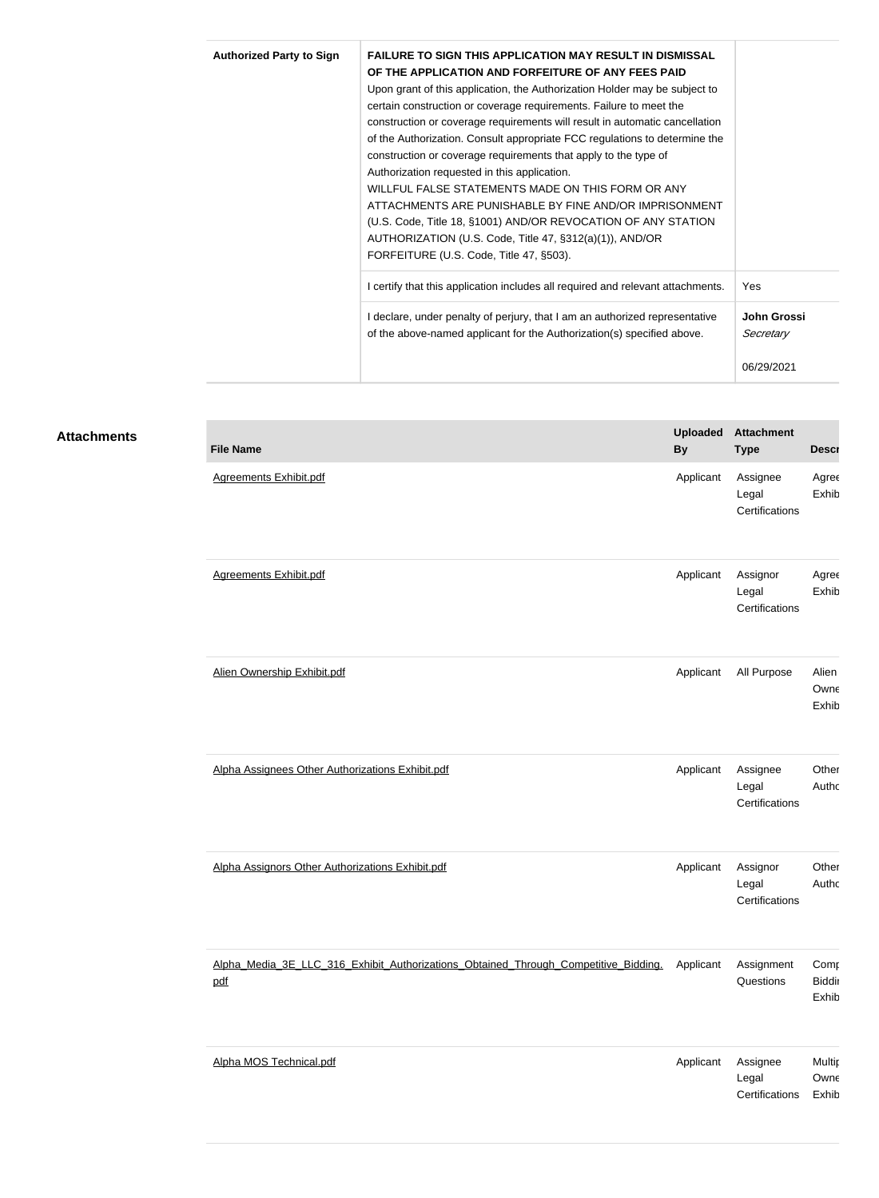| <b>Authorized Party to Sign</b> |  | <b>FAILURE TO SIGN THIS APPLICATION MAY RESULT IN DISMISSAL</b><br>OF THE APPLICATION AND FORFEITURE OF ANY FEES PAID<br>Upon grant of this application, the Authorization Holder may be subject to<br>certain construction or coverage requirements. Failure to meet the<br>construction or coverage requirements will result in automatic cancellation<br>of the Authorization. Consult appropriate FCC regulations to determine the<br>construction or coverage requirements that apply to the type of<br>Authorization requested in this application.<br>WILLFUL FALSE STATEMENTS MADE ON THIS FORM OR ANY<br>ATTACHMENTS ARE PUNISHABLE BY FINE AND/OR IMPRISONMENT<br>(U.S. Code, Title 18, §1001) AND/OR REVOCATION OF ANY STATION<br>AUTHORIZATION (U.S. Code, Title 47, §312(a)(1)), AND/OR<br>FORFEITURE (U.S. Code, Title 47, §503). | Yes                      |  |
|---------------------------------|--|-------------------------------------------------------------------------------------------------------------------------------------------------------------------------------------------------------------------------------------------------------------------------------------------------------------------------------------------------------------------------------------------------------------------------------------------------------------------------------------------------------------------------------------------------------------------------------------------------------------------------------------------------------------------------------------------------------------------------------------------------------------------------------------------------------------------------------------------------|--------------------------|--|
|                                 |  | I certify that this application includes all required and relevant attachments.                                                                                                                                                                                                                                                                                                                                                                                                                                                                                                                                                                                                                                                                                                                                                                 |                          |  |
|                                 |  | I declare, under penalty of perjury, that I am an authorized representative<br>of the above-named applicant for the Authorization(s) specified above.                                                                                                                                                                                                                                                                                                                                                                                                                                                                                                                                                                                                                                                                                           | John Grossi<br>Secretary |  |
|                                 |  |                                                                                                                                                                                                                                                                                                                                                                                                                                                                                                                                                                                                                                                                                                                                                                                                                                                 | 06/29/2021               |  |

**Attachment** 

## **Attachments**

| <b>File Name</b>                                                                           | <b>Uploaded</b><br><b>By</b> | <b>Attachment</b><br><b>Type</b>    | <b>Descr</b>                   |
|--------------------------------------------------------------------------------------------|------------------------------|-------------------------------------|--------------------------------|
| <b>Agreements Exhibit.pdf</b>                                                              | Applicant                    | Assignee<br>Legal<br>Certifications | Agree<br>Exhib                 |
| <b>Agreements Exhibit.pdf</b>                                                              | Applicant                    | Assignor<br>Legal<br>Certifications | Agree<br>Exhib                 |
| Alien Ownership Exhibit.pdf                                                                | Applicant                    | All Purpose                         | Alien<br>Owne<br>Exhib         |
| Alpha Assignees Other Authorizations Exhibit.pdf                                           | Applicant                    | Assignee<br>Legal<br>Certifications | Other<br>Authc                 |
| Alpha Assignors Other Authorizations Exhibit.pdf                                           | Applicant                    | Assignor<br>Legal<br>Certifications | Other<br>Authc                 |
| Alpha Media 3E LLC 316 Exhibit Authorizations Obtained Through Competitive Bidding.<br>pdf | Applicant                    | Assignment<br>Questions             | Comp<br><b>Biddir</b><br>Exhib |
| Alpha MOS Technical.pdf                                                                    | Applicant                    | Assignee<br>Legal<br>Certifications | Multip<br>Owne<br>Exhib        |
|                                                                                            |                              |                                     |                                |